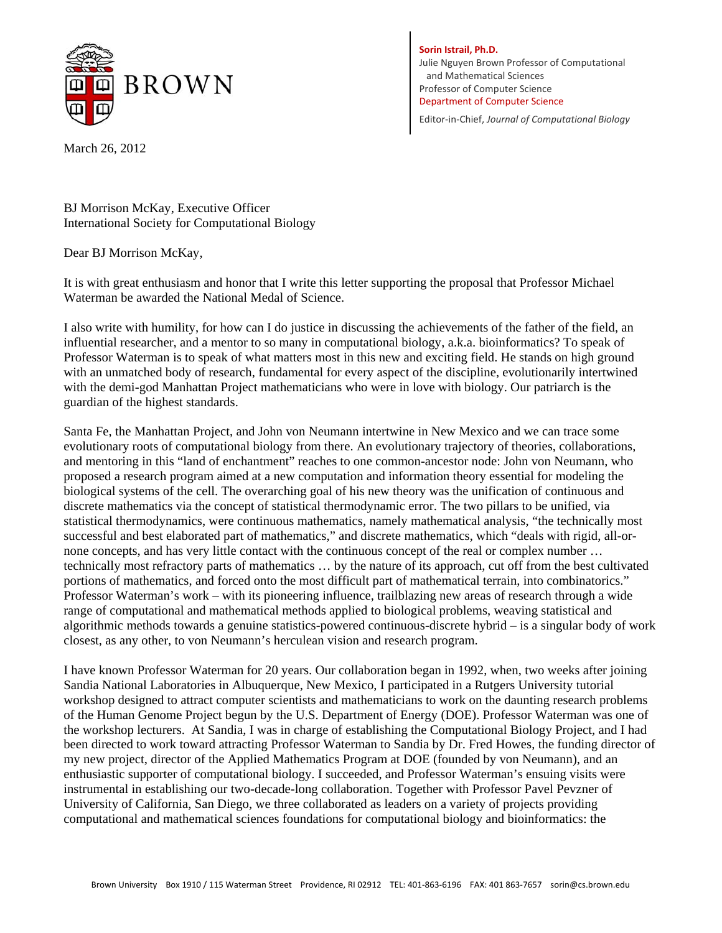

**Sorin Istrail, Ph.D.** Julie Nguyen Brown Professor of Computational and Mathematical Sciences Professor of Computer Science Department of Computer Science

Editor‐in‐Chief, *Journal of Computational Biology*

March 26, 2012

BJ Morrison McKay, Executive Officer International Society for Computational Biology

Dear BJ Morrison McKay,

It is with great enthusiasm and honor that I write this letter supporting the proposal that Professor Michael Waterman be awarded the National Medal of Science.

I also write with humility, for how can I do justice in discussing the achievements of the father of the field, an influential researcher, and a mentor to so many in computational biology, a.k.a. bioinformatics? To speak of Professor Waterman is to speak of what matters most in this new and exciting field. He stands on high ground with an unmatched body of research, fundamental for every aspect of the discipline, evolutionarily intertwined with the demi-god Manhattan Project mathematicians who were in love with biology. Our patriarch is the guardian of the highest standards.

Santa Fe, the Manhattan Project, and John von Neumann intertwine in New Mexico and we can trace some evolutionary roots of computational biology from there. An evolutionary trajectory of theories, collaborations, and mentoring in this "land of enchantment" reaches to one common-ancestor node: John von Neumann, who proposed a research program aimed at a new computation and information theory essential for modeling the biological systems of the cell. The overarching goal of his new theory was the unification of continuous and discrete mathematics via the concept of statistical thermodynamic error. The two pillars to be unified, via statistical thermodynamics, were continuous mathematics, namely mathematical analysis, "the technically most successful and best elaborated part of mathematics," and discrete mathematics, which "deals with rigid, all-ornone concepts, and has very little contact with the continuous concept of the real or complex number … technically most refractory parts of mathematics … by the nature of its approach, cut off from the best cultivated portions of mathematics, and forced onto the most difficult part of mathematical terrain, into combinatorics." Professor Waterman's work – with its pioneering influence, trailblazing new areas of research through a wide range of computational and mathematical methods applied to biological problems, weaving statistical and algorithmic methods towards a genuine statistics-powered continuous-discrete hybrid – is a singular body of work closest, as any other, to von Neumann's herculean vision and research program.

I have known Professor Waterman for 20 years. Our collaboration began in 1992, when, two weeks after joining Sandia National Laboratories in Albuquerque, New Mexico, I participated in a Rutgers University tutorial workshop designed to attract computer scientists and mathematicians to work on the daunting research problems of the Human Genome Project begun by the U.S. Department of Energy (DOE). Professor Waterman was one of the workshop lecturers. At Sandia, I was in charge of establishing the Computational Biology Project, and I had been directed to work toward attracting Professor Waterman to Sandia by Dr. Fred Howes, the funding director of my new project, director of the Applied Mathematics Program at DOE (founded by von Neumann), and an enthusiastic supporter of computational biology. I succeeded, and Professor Waterman's ensuing visits were instrumental in establishing our two-decade-long collaboration. Together with Professor Pavel Pevzner of University of California, San Diego, we three collaborated as leaders on a variety of projects providing computational and mathematical sciences foundations for computational biology and bioinformatics: the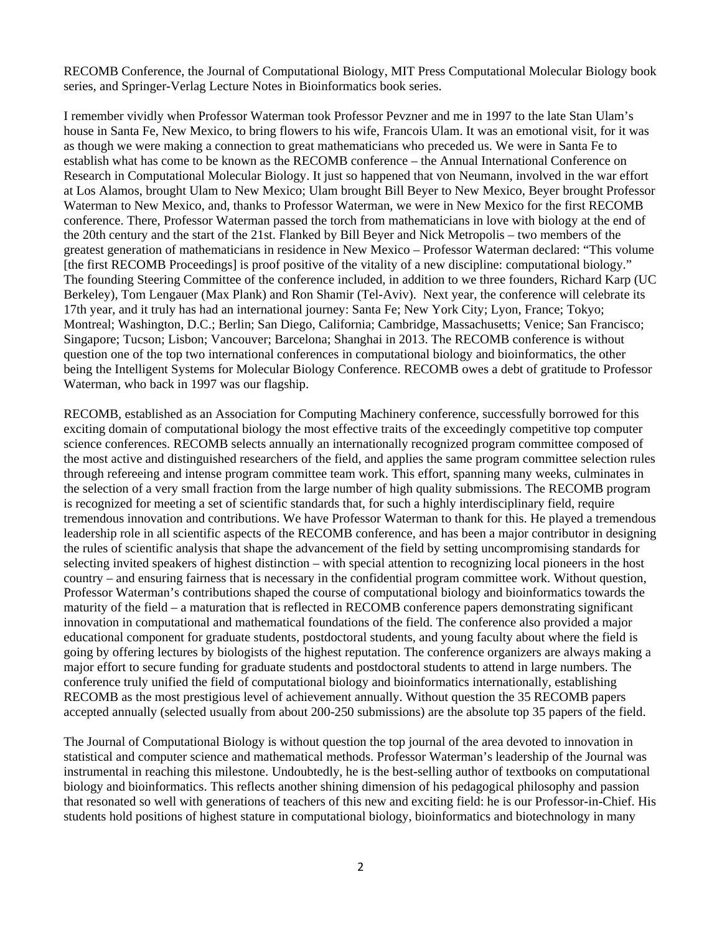RECOMB Conference, the Journal of Computational Biology, MIT Press Computational Molecular Biology book series, and Springer-Verlag Lecture Notes in Bioinformatics book series.

I remember vividly when Professor Waterman took Professor Pevzner and me in 1997 to the late Stan Ulam's house in Santa Fe, New Mexico, to bring flowers to his wife, Francois Ulam. It was an emotional visit, for it was as though we were making a connection to great mathematicians who preceded us. We were in Santa Fe to establish what has come to be known as the RECOMB conference – the Annual International Conference on Research in Computational Molecular Biology. It just so happened that von Neumann, involved in the war effort at Los Alamos, brought Ulam to New Mexico; Ulam brought Bill Beyer to New Mexico, Beyer brought Professor Waterman to New Mexico, and, thanks to Professor Waterman, we were in New Mexico for the first RECOMB conference. There, Professor Waterman passed the torch from mathematicians in love with biology at the end of the 20th century and the start of the 21st. Flanked by Bill Beyer and Nick Metropolis – two members of the greatest generation of mathematicians in residence in New Mexico – Professor Waterman declared: "This volume [the first RECOMB Proceedings] is proof positive of the vitality of a new discipline: computational biology." The founding Steering Committee of the conference included, in addition to we three founders, Richard Karp (UC Berkeley), Tom Lengauer (Max Plank) and Ron Shamir (Tel-Aviv). Next year, the conference will celebrate its 17th year, and it truly has had an international journey: Santa Fe; New York City; Lyon, France; Tokyo; Montreal; Washington, D.C.; Berlin; San Diego, California; Cambridge, Massachusetts; Venice; San Francisco; Singapore; Tucson; Lisbon; Vancouver; Barcelona; Shanghai in 2013. The RECOMB conference is without question one of the top two international conferences in computational biology and bioinformatics, the other being the Intelligent Systems for Molecular Biology Conference. RECOMB owes a debt of gratitude to Professor Waterman, who back in 1997 was our flagship.

RECOMB, established as an Association for Computing Machinery conference, successfully borrowed for this exciting domain of computational biology the most effective traits of the exceedingly competitive top computer science conferences. RECOMB selects annually an internationally recognized program committee composed of the most active and distinguished researchers of the field, and applies the same program committee selection rules through refereeing and intense program committee team work. This effort, spanning many weeks, culminates in the selection of a very small fraction from the large number of high quality submissions. The RECOMB program is recognized for meeting a set of scientific standards that, for such a highly interdisciplinary field, require tremendous innovation and contributions. We have Professor Waterman to thank for this. He played a tremendous leadership role in all scientific aspects of the RECOMB conference, and has been a major contributor in designing the rules of scientific analysis that shape the advancement of the field by setting uncompromising standards for selecting invited speakers of highest distinction – with special attention to recognizing local pioneers in the host country – and ensuring fairness that is necessary in the confidential program committee work. Without question, Professor Waterman's contributions shaped the course of computational biology and bioinformatics towards the maturity of the field – a maturation that is reflected in RECOMB conference papers demonstrating significant innovation in computational and mathematical foundations of the field. The conference also provided a major educational component for graduate students, postdoctoral students, and young faculty about where the field is going by offering lectures by biologists of the highest reputation. The conference organizers are always making a major effort to secure funding for graduate students and postdoctoral students to attend in large numbers. The conference truly unified the field of computational biology and bioinformatics internationally, establishing RECOMB as the most prestigious level of achievement annually. Without question the 35 RECOMB papers accepted annually (selected usually from about 200-250 submissions) are the absolute top 35 papers of the field.

The Journal of Computational Biology is without question the top journal of the area devoted to innovation in statistical and computer science and mathematical methods. Professor Waterman's leadership of the Journal was instrumental in reaching this milestone. Undoubtedly, he is the best-selling author of textbooks on computational biology and bioinformatics. This reflects another shining dimension of his pedagogical philosophy and passion that resonated so well with generations of teachers of this new and exciting field: he is our Professor-in-Chief. His students hold positions of highest stature in computational biology, bioinformatics and biotechnology in many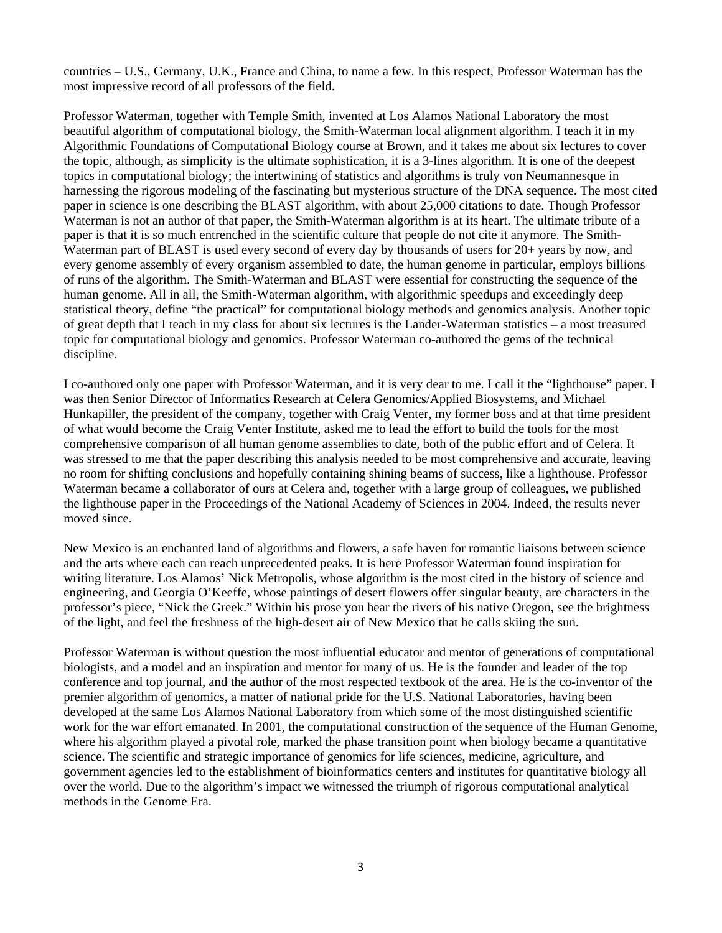countries – U.S., Germany, U.K., France and China, to name a few. In this respect, Professor Waterman has the most impressive record of all professors of the field.

Professor Waterman, together with Temple Smith, invented at Los Alamos National Laboratory the most beautiful algorithm of computational biology, the Smith-Waterman local alignment algorithm. I teach it in my Algorithmic Foundations of Computational Biology course at Brown, and it takes me about six lectures to cover the topic, although, as simplicity is the ultimate sophistication, it is a 3-lines algorithm. It is one of the deepest topics in computational biology; the intertwining of statistics and algorithms is truly von Neumannesque in harnessing the rigorous modeling of the fascinating but mysterious structure of the DNA sequence. The most cited paper in science is one describing the BLAST algorithm, with about 25,000 citations to date. Though Professor Waterman is not an author of that paper, the Smith-Waterman algorithm is at its heart. The ultimate tribute of a paper is that it is so much entrenched in the scientific culture that people do not cite it anymore. The Smith-Waterman part of BLAST is used every second of every day by thousands of users for 20+ years by now, and every genome assembly of every organism assembled to date, the human genome in particular, employs billions of runs of the algorithm. The Smith-Waterman and BLAST were essential for constructing the sequence of the human genome. All in all, the Smith-Waterman algorithm, with algorithmic speedups and exceedingly deep statistical theory, define "the practical" for computational biology methods and genomics analysis. Another topic of great depth that I teach in my class for about six lectures is the Lander-Waterman statistics – a most treasured topic for computational biology and genomics. Professor Waterman co-authored the gems of the technical discipline.

I co-authored only one paper with Professor Waterman, and it is very dear to me. I call it the "lighthouse" paper. I was then Senior Director of Informatics Research at Celera Genomics/Applied Biosystems, and Michael Hunkapiller, the president of the company, together with Craig Venter, my former boss and at that time president of what would become the Craig Venter Institute, asked me to lead the effort to build the tools for the most comprehensive comparison of all human genome assemblies to date, both of the public effort and of Celera. It was stressed to me that the paper describing this analysis needed to be most comprehensive and accurate, leaving no room for shifting conclusions and hopefully containing shining beams of success, like a lighthouse. Professor Waterman became a collaborator of ours at Celera and, together with a large group of colleagues, we published the lighthouse paper in the Proceedings of the National Academy of Sciences in 2004. Indeed, the results never moved since.

New Mexico is an enchanted land of algorithms and flowers, a safe haven for romantic liaisons between science and the arts where each can reach unprecedented peaks. It is here Professor Waterman found inspiration for writing literature. Los Alamos' Nick Metropolis, whose algorithm is the most cited in the history of science and engineering, and Georgia O'Keeffe, whose paintings of desert flowers offer singular beauty, are characters in the professor's piece, "Nick the Greek." Within his prose you hear the rivers of his native Oregon, see the brightness of the light, and feel the freshness of the high-desert air of New Mexico that he calls skiing the sun.

Professor Waterman is without question the most influential educator and mentor of generations of computational biologists, and a model and an inspiration and mentor for many of us. He is the founder and leader of the top conference and top journal, and the author of the most respected textbook of the area. He is the co-inventor of the premier algorithm of genomics, a matter of national pride for the U.S. National Laboratories, having been developed at the same Los Alamos National Laboratory from which some of the most distinguished scientific work for the war effort emanated. In 2001, the computational construction of the sequence of the Human Genome, where his algorithm played a pivotal role, marked the phase transition point when biology became a quantitative science. The scientific and strategic importance of genomics for life sciences, medicine, agriculture, and government agencies led to the establishment of bioinformatics centers and institutes for quantitative biology all over the world. Due to the algorithm's impact we witnessed the triumph of rigorous computational analytical methods in the Genome Era.